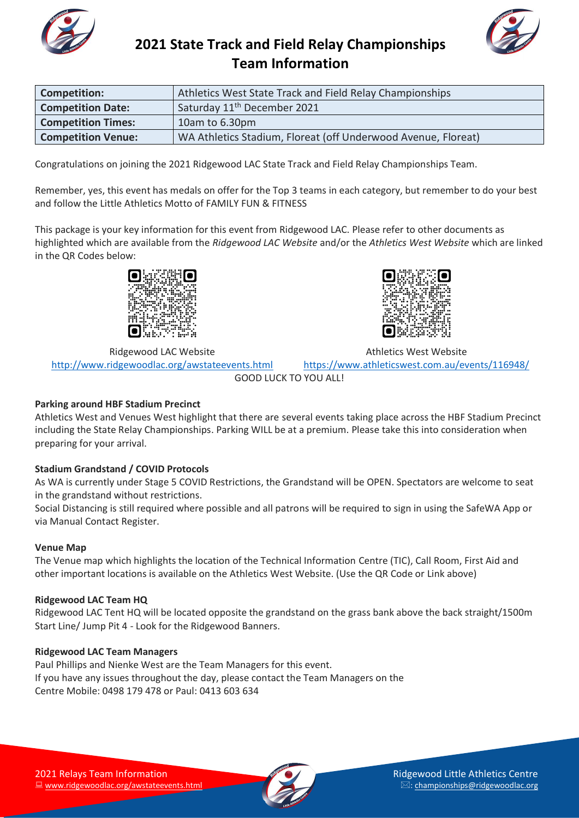



| <b>Competition:</b>       | Athletics West State Track and Field Relay Championships      |
|---------------------------|---------------------------------------------------------------|
| <b>Competition Date:</b>  | Saturday 11 <sup>th</sup> December 2021                       |
| <b>Competition Times:</b> | 10am to 6.30pm                                                |
| <b>Competition Venue:</b> | WA Athletics Stadium, Floreat (off Underwood Avenue, Floreat) |

Congratulations on joining the 2021 Ridgewood LAC State Track and Field Relay Championships Team.

Remember, yes, this event has medals on offer for the Top 3 teams in each category, but remember to do your best and follow the Little Athletics Motto of FAMILY FUN & FITNESS

This package is your key information for this event from Ridgewood LAC. Please refer to other documents as highlighted which are available from the *Ridgewood LAC Website* and/or the *Athletics West Website* which are linked in the QR Codes below:



Athletics West Website

Ridgewood LAC Website <http://www.ridgewoodlac.org/awstateevents.html> <https://www.athleticswest.com.au/events/116948/> GOOD LUCK TO YOU ALL!

### **Parking around HBF Stadium Precinct**

Athletics West and Venues West highlight that there are several events taking place across the HBF Stadium Precinct including the State Relay Championships. Parking WILL be at a premium. Please take this into consideration when preparing for your arrival.

### **Stadium Grandstand / COVID Protocols**

As WA is currently under Stage 5 COVID Restrictions, the Grandstand will be OPEN. Spectators are welcome to seat in the grandstand without restrictions.

Social Distancing is still required where possible and all patrons will be required to sign in using the SafeWA App or via Manual Contact Register.

### **Venue Map**

The Venue map which highlights the location of the Technical Information Centre (TIC), Call Room, First Aid and other important locations is available on the Athletics West Website. (Use the QR Code or Link above)

### **Ridgewood LAC Team HQ**

Ridgewood LAC Tent HQ will be located opposite the grandstand on the grass bank above the back straight/1500m Start Line/ Jump Pit 4 - Look for the Ridgewood Banners.

### **Ridgewood LAC Team Managers**

Paul Phillips and Nienke West are the Team Managers for this event. If you have any issues throughout the day, please contact the Team Managers on the Centre Mobile: 0498 179 478 or Paul: 0413 603 634

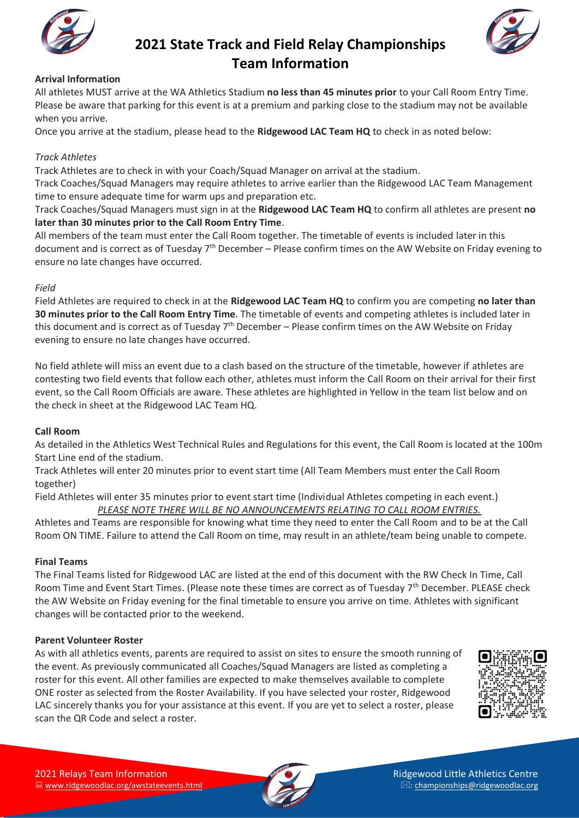



### **Arrival Information**

All athletes MUST arrive at the WA Athletics Stadium **no less than 45 minutes prior** to your Call Room Entry Time. Please be aware that parking for this event is at a premium and parking close to the stadium may not be available when you arrive.

Once you arrive at the stadium, please head to the **Ridgewood LAC Team HQ** to check in as noted below:

### *Track Athletes*

Track Athletes are to check in with your Coach/Squad Manager on arrival at the stadium.

Track Coaches/Squad Managers may require athletes to arrive earlier than the Ridgewood LAC Team Management time to ensure adequate time for warm ups and preparation etc.

Track Coaches/Squad Managers must sign in at the **Ridgewood LAC Team HQ** to confirm all athletes are present **no later than 30 minutes prior to the Call Room Entry Time**.

All members of the team must enter the Call Room together. The timetable of events is included later in this document and is correct as of Tuesday  $7<sup>th</sup>$  December – Please confirm times on the AW Website on Friday evening to ensure no late changes have occurred.

### *Field*

Field Athletes are required to check in at the **Ridgewood LAC Team HQ** to confirm you are competing **no later than 30 minutes prior to the Call Room Entry Time**. The timetable of events and competing athletes is included later in this document and is correct as of Tuesday 7<sup>th</sup> December – Please confirm times on the AW Website on Friday evening to ensure no late changes have occurred.

No field athlete will miss an event due to a clash based on the structure of the timetable, however if athletes are contesting two field events that follow each other, athletes must inform the Call Room on their arrival for their first event, so the Call Room Officials are aware. These athletes are highlighted in Yellow in the team list below and on the check in sheet at the Ridgewood LAC Team HQ.

### **Call Room**

As detailed in the Athletics West Technical Rules and Regulations for this event, the Call Room is located at the 100m Start Line end of the stadium.

Track Athletes will enter 20 minutes prior to event start time (All Team Members must enter the Call Room together)

Field Athletes will enter 35 minutes prior to event start time (Individual Athletes competing in each event.) *PLEASE NOTE THERE WILL BE NO ANNOUNCEMENTS RELATING TO CALL ROOM ENTRIES.*

Athletes and Teams are responsible for knowing what time they need to enter the Call Room and to be at the Call Room ON TIME. Failure to attend the Call Room on time, may result in an athlete/team being unable to compete.

### **Final Teams**

The Final Teams listed for Ridgewood LAC are listed at the end of this document with the RW Check In Time, Call Room Time and Event Start Times. (Please note these times are correct as of Tuesday 7<sup>th</sup> December. PLEASE check the AW Website on Friday evening for the final timetable to ensure you arrive on time. Athletes with significant changes will be contacted prior to the weekend.

### **Parent Volunteer Roster**

As with all athletics events, parents are required to assist on sites to ensure the smooth running of the event. As previously communicated all Coaches/Squad Managers are listed as completing a roster for this event. All other families are expected to make themselves available to complete ONE roster as selected from the Roster Availability. If you have selected your roster, Ridgewood LAC sincerely thanks you for your assistance at this event. If you are yet to select a roster, please scan the QR Code and select a roster.



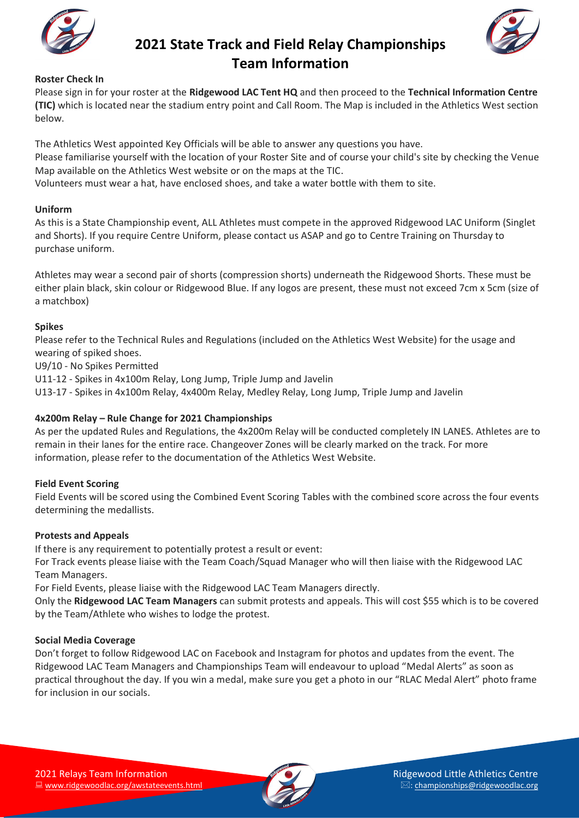



### **Roster Check In**

Please sign in for your roster at the **Ridgewood LAC Tent HQ** and then proceed to the **Technical Information Centre (TIC)** which is located near the stadium entry point and Call Room. The Map is included in the Athletics West section below.

The Athletics West appointed Key Officials will be able to answer any questions you have. Please familiarise yourself with the location of your Roster Site and of course your child's site by checking the Venue Map available on the Athletics West website or on the maps at the TIC.

Volunteers must wear a hat, have enclosed shoes, and take a water bottle with them to site.

### **Uniform**

As this is a State Championship event, ALL Athletes must compete in the approved Ridgewood LAC Uniform (Singlet and Shorts). If you require Centre Uniform, please contact us ASAP and go to Centre Training on Thursday to purchase uniform.

Athletes may wear a second pair of shorts (compression shorts) underneath the Ridgewood Shorts. These must be either plain black, skin colour or Ridgewood Blue. If any logos are present, these must not exceed 7cm x 5cm (size of a matchbox)

### **Spikes**

Please refer to the Technical Rules and Regulations (included on the Athletics West Website) for the usage and wearing of spiked shoes.

U9/10 - No Spikes Permitted

U11-12 - Spikes in 4x100m Relay, Long Jump, Triple Jump and Javelin

U13-17 - Spikes in 4x100m Relay, 4x400m Relay, Medley Relay, Long Jump, Triple Jump and Javelin

### **4x200m Relay – Rule Change for 2021 Championships**

As per the updated Rules and Regulations, the 4x200m Relay will be conducted completely IN LANES. Athletes are to remain in their lanes for the entire race. Changeover Zones will be clearly marked on the track. For more information, please refer to the documentation of the Athletics West Website.

### **Field Event Scoring**

Field Events will be scored using the Combined Event Scoring Tables with the combined score across the four events determining the medallists.

### **Protests and Appeals**

If there is any requirement to potentially protest a result or event:

For Track events please liaise with the Team Coach/Squad Manager who will then liaise with the Ridgewood LAC Team Managers.

For Field Events, please liaise with the Ridgewood LAC Team Managers directly.

Only the **Ridgewood LAC Team Managers** can submit protests and appeals. This will cost \$55 which is to be covered by the Team/Athlete who wishes to lodge the protest.

### **Social Media Coverage**

Don't forget to follow Ridgewood LAC on Facebook and Instagram for photos and updates from the event. The Ridgewood LAC Team Managers and Championships Team will endeavour to upload "Medal Alerts" as soon as practical throughout the day. If you win a medal, make sure you get a photo in our "RLAC Medal Alert" photo frame for inclusion in our socials.

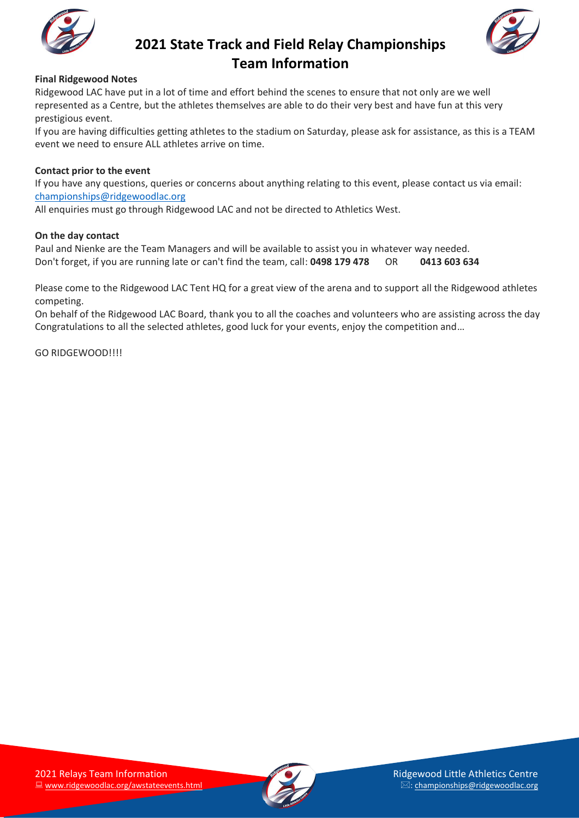



### **Final Ridgewood Notes**

Ridgewood LAC have put in a lot of time and effort behind the scenes to ensure that not only are we well represented as a Centre, but the athletes themselves are able to do their very best and have fun at this very prestigious event.

If you are having difficulties getting athletes to the stadium on Saturday, please ask for assistance, as this is a TEAM event we need to ensure ALL athletes arrive on time.

### **Contact prior to the event**

If you have any questions, queries or concerns about anything relating to this event, please contact us via email: [championships@ridgewoodlac.org](mailto:championships@ridgewoodlac.org)

All enquiries must go through Ridgewood LAC and not be directed to Athletics West.

### **On the day contact**

Paul and Nienke are the Team Managers and will be available to assist you in whatever way needed. Don't forget, if you are running late or can't find the team, call: **0498 179 478** OR **0413 603 634**

Please come to the Ridgewood LAC Tent HQ for a great view of the arena and to support all the Ridgewood athletes competing.

On behalf of the Ridgewood LAC Board, thank you to all the coaches and volunteers who are assisting across the day Congratulations to all the selected athletes, good luck for your events, enjoy the competition and…

GO RIDGEWOOD!!!!

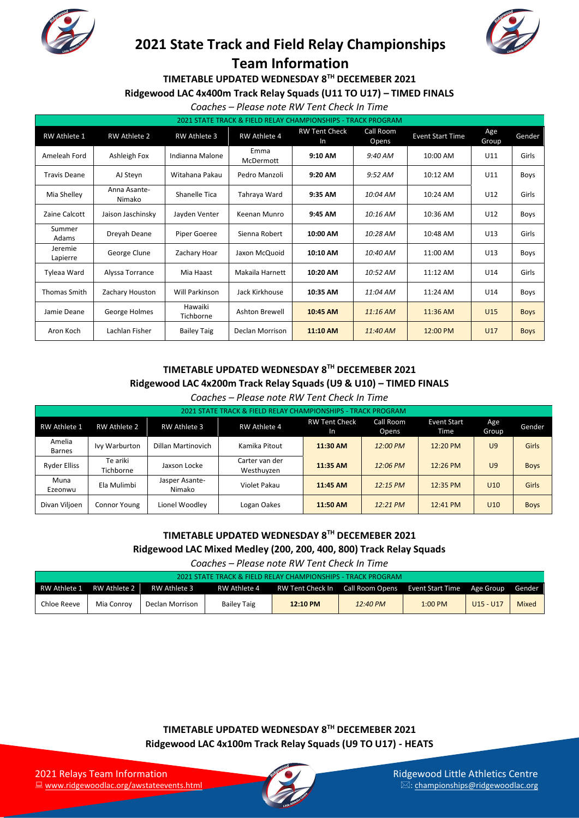



**TIMETABLE UPDATED WEDNESDAY 8TH DECEMEBER 2021**

#### **Ridgewood LAC 4x400m Track Relay Squads (U11 TO U17) – TIMED FINALS**

### *Coaches – Please note RW Tent Check In Time*

| 2021 STATE TRACK & FIELD RELAY CHAMPIONSHIPS - TRACK PROGRAM |                        |                       |                                                                                                    |          |              |            |                 |             |  |
|--------------------------------------------------------------|------------------------|-----------------------|----------------------------------------------------------------------------------------------------|----------|--------------|------------|-----------------|-------------|--|
| <b>RW Athlete 1</b>                                          | <b>RW Athlete 2</b>    | <b>RW Athlete 3</b>   | Call Room<br><b>RW Tent Check</b><br><b>RW Athlete 4</b><br><b>Event Start Time</b><br>Opens<br>In |          | Age<br>Group | Gender     |                 |             |  |
| Ameleah Ford                                                 | Ashleigh Fox           | Indianna Malone       | Emma<br>McDermott                                                                                  | 9:10 AM  | 9:40 AM      | 10:00 AM   | U11             | Girls       |  |
| <b>Travis Deane</b>                                          | AJ Steyn               | Witahana Pakau        | Pedro Manzoli                                                                                      | 9:20 AM  | 9:52 AM      | $10:12$ AM | U11             | Boys        |  |
| Mia Shelley                                                  | Anna Asante-<br>Nimako | Shanelle Tica         | Tahraya Ward<br>9:35 AM                                                                            |          | 10:04 AM     | 10:24 AM   | U12             | Girls       |  |
| Zaine Calcott                                                | Jaison Jaschinsky      | Jayden Venter         | Keenan Munro                                                                                       | 9:45 AM  | 10:16 AM     | 10:36 AM   | U12             | Boys        |  |
| Summer<br>Adams                                              | Dreyah Deane           | Piper Goeree          | Sienna Robert                                                                                      | 10:00 AM |              | 10:48 AM   | U13             | Girls       |  |
| Jeremie<br>Lapierre                                          | George Clune           | Zachary Hoar          | Jaxon McQuoid                                                                                      | 10:10 AM | 10:40 AM     | 11:00 AM   | U13             | <b>Boys</b> |  |
| Tyleaa Ward                                                  | Alyssa Torrance        | Mia Haast             | Makaila Harnett                                                                                    | 10:20 AM | 10:52 AM     | $11:12$ AM | U14             | Girls       |  |
| <b>Thomas Smith</b>                                          | Zachary Houston        | <b>Will Parkinson</b> | Jack Kirkhouse                                                                                     | 10:35 AM | 11:04 AM     | 11:24 AM   | U14             | Boys        |  |
| Jamie Deane                                                  | George Holmes          | Hawaiki<br>Tichborne  | <b>Ashton Brewell</b>                                                                              | 10:45 AM | 11:16 AM     | 11:36 AM   | U <sub>15</sub> | <b>Boys</b> |  |
| Aron Koch                                                    | Lachlan Fisher         | <b>Bailey Taig</b>    | Declan Morrison                                                                                    | 11:10 AM | 11:40 AM     | 12:00 PM   | U17             | <b>Boys</b> |  |

### **TIMETABLE UPDATED WEDNESDAY 8TH DECEMEBER 2021 Ridgewood LAC 4x200m Track Relay Squads (U9 & U10) – TIMED FINALS**

#### *Coaches – Please note RW Tent Check In Time*

|                         | 2021 STATE TRACK & FIELD RELAY CHAMPIONSHIPS - TRACK PROGRAM |                          |                              |                            |                    |                     |                |              |  |  |
|-------------------------|--------------------------------------------------------------|--------------------------|------------------------------|----------------------------|--------------------|---------------------|----------------|--------------|--|--|
| RW Athlete 1            | RW Athlete 2                                                 | <b>RW Athlete 3</b>      | <b>RW Athlete 4</b>          | <b>RW Tent Check</b><br>In | Call Room<br>Opens | Event Start<br>Time | Age<br>Group   | Gender       |  |  |
| Amelia<br><b>Barnes</b> | Ivy Warburton                                                | Dillan Martinovich       | Kamika Pitout                | 11:30 AM                   | 12:00 PM           | 12:20 PM            | U9             | <b>Girls</b> |  |  |
| Ryder Elliss            | Te ariki<br>Tichborne                                        | Jaxson Locke             | Carter van der<br>Westhuyzen | 11:35 AM                   | 12:06 PM           | 12:26 PM            | U <sub>9</sub> | <b>Boys</b>  |  |  |
| Muna<br>Ezeonwu         | Ela Mulimbi                                                  | Jasper Asante-<br>Nimako | Violet Pakau                 | 11:45 AM                   | 12:15 PM           | 12:35 PM            | U10            | <b>Girls</b> |  |  |
| Divan Vilioen           | Connor Young                                                 | Lionel Woodley           | Logan Oakes                  | 11:50 AM                   | $12:21 \, PM$      | 12:41 PM            | U10            | <b>Boys</b>  |  |  |

### **TIMETABLE UPDATED WEDNESDAY 8TH DECEMEBER 2021 Ridgewood LAC Mixed Medley (200, 200, 400, 800) Track Relay Squads**

*Coaches – Please note RW Tent Check In Time*

| 2021 STATE TRACK & FIELD RELAY CHAMPIONSHIPS - TRACK PROGRAM |              |                 |                    |                  |                                            |           |             |        |  |  |
|--------------------------------------------------------------|--------------|-----------------|--------------------|------------------|--------------------------------------------|-----------|-------------|--------|--|--|
| RW Athlete 1                                                 | RW Athlete 2 | RW Athlete 3    | RW Athlete 4       | RW Tent Check In | Call Room Opens Event Start Time Age Group |           |             | Gender |  |  |
| Chloe Reeve                                                  | Mia Conrov   | Declan Morrison | <b>Bailey Taig</b> | 12:10 PM         | $12:40 \text{ PM}$                         | $1:00$ PM | $U15 - U17$ | Mixed  |  |  |

**TIMETABLE UPDATED WEDNESDAY 8TH DECEMEBER 2021 Ridgewood LAC 4x100m Track Relay Squads (U9 TO U17) - HEATS**

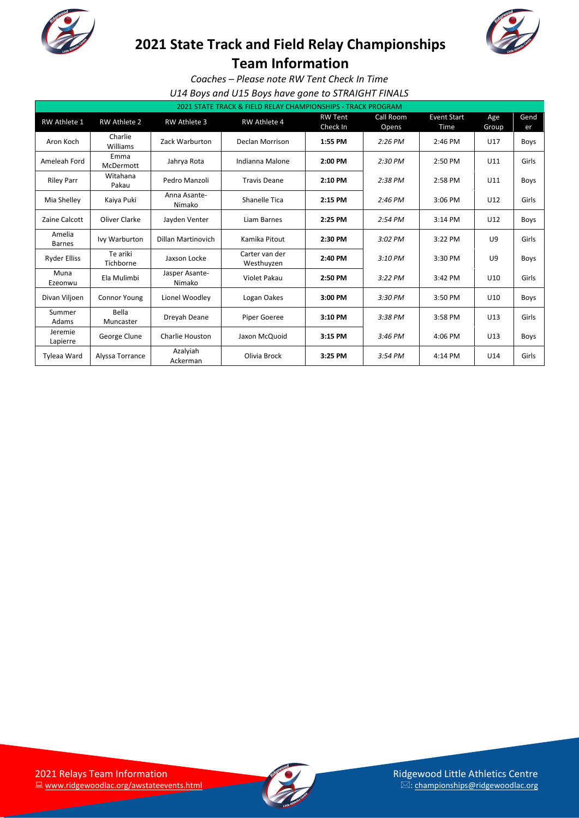

# **2021 State Track and Field Relay Championships**



**Team Information**

*Coaches – Please note RW Tent Check In Time*

*U14 Boys and U15 Boys have gone to STRAIGHT FINALS*

| 2021 STATE TRACK & FIELD RELAY CHAMPIONSHIPS - TRACK PROGRAM |                       |                          |                              |                            |                    |                            |              |             |  |
|--------------------------------------------------------------|-----------------------|--------------------------|------------------------------|----------------------------|--------------------|----------------------------|--------------|-------------|--|
| RW Athlete 1                                                 | <b>RW Athlete 2</b>   | <b>RW Athlete 3</b>      | <b>RW Athlete 4</b>          | <b>RW Tent</b><br>Check In | Call Room<br>Opens | <b>Event Start</b><br>Time | Age<br>Group | Gend<br>er  |  |
| Aron Koch                                                    | Charlie<br>Williams   | Zack Warburton           | Declan Morrison              | 1:55 PM                    | $2:26$ PM          | 2:46 PM                    | U17          | <b>Boys</b> |  |
| Ameleah Ford                                                 | Emma<br>McDermott     | Jahrya Rota              | Indianna Malone              | 2:00 PM                    |                    | 2:50 PM                    | U11          | Girls       |  |
| <b>Riley Parr</b>                                            | Witahana<br>Pakau     | Pedro Manzoli            | <b>Travis Deane</b>          | 2:10 PM                    |                    | 2:58 PM                    | U11          | <b>Boys</b> |  |
| Mia Shelley                                                  | Kaiya Puki            | Anna Asante-<br>Nimako   | Shanelle Tica<br>2:15 PM     |                            | $2:46$ PM          | 3:06 PM                    | U12          | Girls       |  |
| Zaine Calcott                                                | Oliver Clarke         | Jayden Venter            | Liam Barnes                  | 2:25 PM                    | 2:54 PM            | $3:14$ PM                  | U12          | Boys        |  |
| Amelia<br><b>Barnes</b>                                      | Ivy Warburton         | Dillan Martinovich       | Kamika Pitout                | 2:30 PM                    | $3:02$ PM          | 3:22 PM                    | U9           | Girls       |  |
| <b>Ryder Elliss</b>                                          | Te ariki<br>Tichborne | Jaxson Locke             | Carter van der<br>Westhuyzen | 2:40 PM                    | 3:10 PM            | 3:30 PM                    | U9           | Boys        |  |
| Muna<br>Ezeonwu                                              | Ela Mulimbi           | Jasper Asante-<br>Nimako | Violet Pakau                 | 2:50 PM                    | 3:22 PM            | 3:42 PM                    | U10          | Girls       |  |
| Divan Viljoen                                                | <b>Connor Young</b>   | Lionel Woodley           | Logan Oakes                  | 3:00 PM                    | 3:30 PM            | 3:50 PM                    | U10          | Boys        |  |
| Summer<br>Adams                                              | Bella<br>Muncaster    | Dreyah Deane             | Piper Goeree                 | 3:10 PM                    | 3:38 PM            | 3:58 PM                    | U13          | Girls       |  |
| Jeremie<br>Lapierre                                          | George Clune          | Charlie Houston          | Jaxon McQuoid                | 3:15 PM                    | $3:46$ PM          | 4:06 PM                    | U13          | <b>Boys</b> |  |
| Tyleaa Ward                                                  | Alyssa Torrance       | Azalyiah<br>Ackerman     | Olivia Brock                 | 3:25 PM                    | 3:54 PM            | 4:14 PM                    | U14          | Girls       |  |

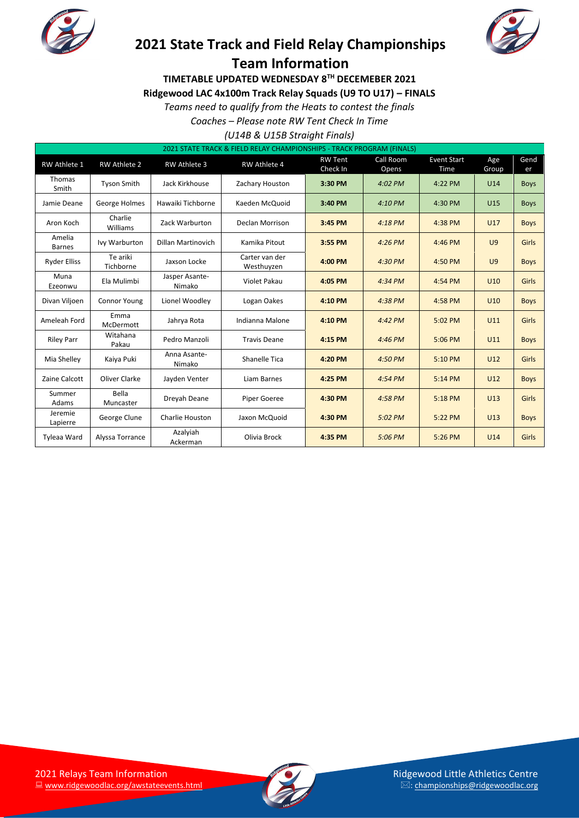



**TIMETABLE UPDATED WEDNESDAY 8TH DECEMEBER 2021**

**Ridgewood LAC 4x100m Track Relay Squads (U9 TO U17) – FINALS**

*Teams need to qualify from the Heats to contest the finals*

*Coaches – Please note RW Tent Check In Time*

*(U14B & U15B Straight Finals)*

| 2021 STATE TRACK & FIELD RELAY CHAMPIONSHIPS - TRACK PROGRAM (FINALS) |                       |                           |                              |                            |                    |                            |                |             |  |
|-----------------------------------------------------------------------|-----------------------|---------------------------|------------------------------|----------------------------|--------------------|----------------------------|----------------|-------------|--|
| RW Athlete 1                                                          | <b>RW Athlete 2</b>   | <b>RW Athlete 3</b>       | <b>RW Athlete 4</b>          | <b>RW Tent</b><br>Check In | Call Room<br>Opens | <b>Event Start</b><br>Time | Age<br>Group   | Gend<br>er  |  |
| Thomas<br>Smith                                                       | <b>Tyson Smith</b>    | Jack Kirkhouse            | Zachary Houston              | 3:30 PM                    | 4:02 PM            | 4:22 PM                    | U14            | <b>Boys</b> |  |
| Jamie Deane                                                           | George Holmes         | Hawaiki Tichborne         | Kaeden McQuoid               | 3:40 PM                    | 4:10 PM            | 4:30 PM                    | U15            | <b>Boys</b> |  |
| Aron Koch                                                             | Charlie<br>Williams   | Zack Warburton            | <b>Declan Morrison</b>       | 3:45 PM                    |                    | 4:38 PM                    | U17            | <b>Boys</b> |  |
| Amelia<br><b>Barnes</b>                                               | Ivy Warburton         | <b>Dillan Martinovich</b> | Kamika Pitout                | 3:55 PM                    | 4:26 PM            | 4:46 PM                    | U <sub>9</sub> | Girls       |  |
| <b>Ryder Elliss</b>                                                   | Te ariki<br>Tichborne | Jaxson Locke              | Carter van der<br>Westhuyzen | 4:00 PM                    |                    | 4:50 PM                    | U <sub>9</sub> | <b>Boys</b> |  |
| Muna<br>Ezeonwu                                                       | Ela Mulimbi           | Jasper Asante-<br>Nimako  | Violet Pakau                 | 4:05 PM                    | $4:34$ PM          | 4:54 PM                    | U10            | Girls       |  |
| Divan Viljoen                                                         | <b>Connor Young</b>   | Lionel Woodley            | Logan Oakes                  | 4:10 PM                    | 4:38 PM            | 4:58 PM                    | U10            | <b>Boys</b> |  |
| Ameleah Ford                                                          | Emma<br>McDermott     | Jahrya Rota               | Indianna Malone              | 4:10 PM                    | 4:42 PM            | 5:02 PM                    | U11            | Girls       |  |
| <b>Riley Parr</b>                                                     | Witahana<br>Pakau     | Pedro Manzoli             | <b>Travis Deane</b>          | 4:15 PM                    | 4:46 PM            | 5:06 PM                    | U11            | <b>Boys</b> |  |
| Mia Shelley                                                           | Kaiya Puki            | Anna Asante-<br>Nimako    | Shanelle Tica                | 4:20 PM                    | 4:50 PM            | 5:10 PM                    | U12            | Girls       |  |
| Zaine Calcott                                                         | Oliver Clarke         | Jayden Venter             | Liam Barnes                  | 4:25 PM                    | 4:54 PM            | 5:14 PM                    | U12            | <b>Boys</b> |  |
| Summer<br>Adams                                                       | Bella<br>Muncaster    | Dreyah Deane              | <b>Piper Goeree</b>          | 4:30 PM                    | 4:58 PM            | 5:18 PM                    | U13            | Girls       |  |
| Jeremie<br>Lapierre                                                   | George Clune          | Charlie Houston           | Jaxon McQuoid                | 4:30 PM                    | 5:02 PM            | 5:22 PM                    | U13            | <b>Boys</b> |  |
| Tyleaa Ward                                                           | Alyssa Torrance       | Azalyiah<br>Ackerman      | Olivia Brock                 | 4:35 PM                    | 5:06 PM            | 5:26 PM                    | U14            | Girls       |  |

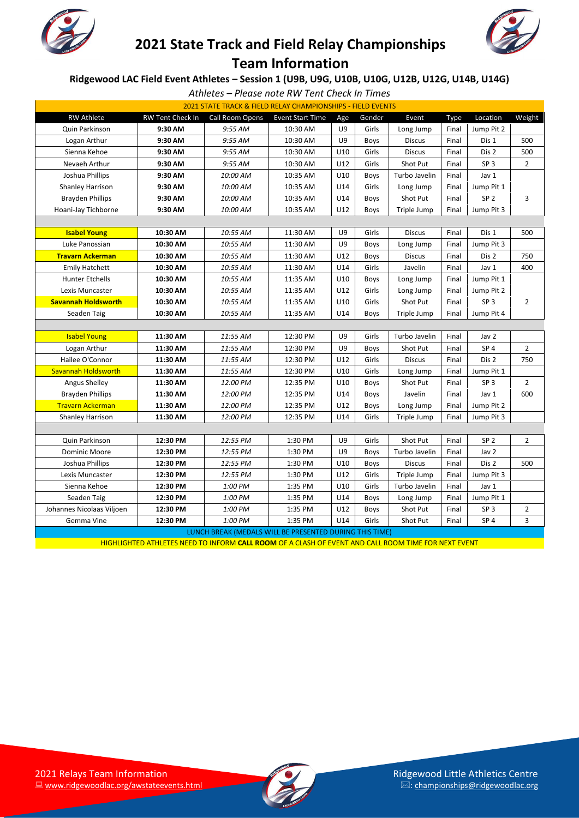



### **Ridgewood LAC Field Event Athletes – Session 1 (U9B, U9G, U10B, U10G, U12B, U12G, U14B, U14G)**

*Athletes – Please note RW Tent Check In Times*

| 2021 STATE TRACK & FIELD RELAY CHAMPIONSHIPS - FIELD EVENTS |                  |                                                         |                         |     |        |               |       |                 |                |
|-------------------------------------------------------------|------------------|---------------------------------------------------------|-------------------------|-----|--------|---------------|-------|-----------------|----------------|
| <b>RW Athlete</b>                                           | RW Tent Check In | Call Room Opens                                         | <b>Event Start Time</b> | Age | Gender | Event         | Type  | Location        | Weight         |
| Quin Parkinson                                              | 9:30 AM          | 9:55 AM                                                 | 10:30 AM                | U9  | Girls  | Long Jump     | Final | Jump Pit 2      |                |
| Logan Arthur                                                | 9:30 AM          | 9:55 AM                                                 | 10:30 AM                | U9  | Boys   | <b>Discus</b> | Final | Dis 1           | 500            |
| Sienna Kehoe                                                | 9:30 AM          | 9:55 AM                                                 | 10:30 AM                | U10 | Girls  | <b>Discus</b> | Final | Dis 2           | 500            |
| Nevaeh Arthur                                               | 9:30 AM          | 9:55 AM                                                 | 10:30 AM                | U12 | Girls  | Shot Put      | Final | SP <sub>3</sub> | $\overline{2}$ |
| Joshua Phillips                                             | 9:30 AM          | 10:00 AM                                                | 10:35 AM                | U10 | Boys   | Turbo Javelin | Final | Jav 1           |                |
| <b>Shanley Harrison</b>                                     | 9:30 AM          | 10:00 AM                                                | 10:35 AM                | U14 | Girls  | Long Jump     | Final | Jump Pit 1      |                |
| <b>Brayden Phillips</b>                                     | 9:30 AM          | 10:00 AM                                                | 10:35 AM                | U14 | Boys   | Shot Put      | Final | SP <sub>2</sub> | 3              |
| Hoani-Jay Tichborne                                         | 9:30 AM          | 10:00 AM                                                | 10:35 AM                | U12 | Boys   | Triple Jump   | Final | Jump Pit 3      |                |
|                                                             |                  |                                                         |                         |     |        |               |       |                 |                |
| <b>Isabel Young</b>                                         | 10:30 AM         | 10:55 AM                                                | 11:30 AM                | U9  | Girls  | <b>Discus</b> | Final | Dis 1           | 500            |
| Luke Panossian                                              | 10:30 AM         | 10:55 AM                                                | 11:30 AM                | U9  | Boys   | Long Jump     | Final | Jump Pit 3      |                |
| <b>Travarn Ackerman</b>                                     | 10:30 AM         | 10:55 AM                                                | 11:30 AM                | U12 | Boys   | <b>Discus</b> | Final | Dis 2           | 750            |
| <b>Emily Hatchett</b>                                       | 10:30 AM         | 10:55 AM                                                | 11:30 AM                | U14 | Girls  | Javelin       | Final | Jav 1           | 400            |
| <b>Hunter Etchells</b>                                      | 10:30 AM         | 10:55 AM                                                | 11:35 AM                | U10 | Boys   | Long Jump     | Final | Jump Pit 1      |                |
| Lexis Muncaster                                             | 10:30 AM         | 10:55 AM                                                | 11:35 AM                | U12 | Girls  | Long Jump     | Final | Jump Pit 2      |                |
| <b>Savannah Holdsworth</b>                                  | 10:30 AM         | 10:55 AM                                                | 11:35 AM                | U10 | Girls  | Shot Put      | Final | SP <sub>3</sub> | $\overline{2}$ |
| Seaden Taig                                                 | 10:30 AM         | 10:55 AM                                                | 11:35 AM                | U14 | Boys   | Triple Jump   | Final | Jump Pit 4      |                |
|                                                             |                  |                                                         |                         |     |        |               |       |                 |                |
| <b>Isabel Young</b>                                         | 11:30 AM         | 11:55 AM                                                | 12:30 PM                | U9  | Girls  | Turbo Javelin | Final | Jav 2           |                |
| Logan Arthur                                                | 11:30 AM         | 11:55 AM                                                | 12:30 PM                | U9  | Boys   | Shot Put      | Final | SP <sub>4</sub> | $\overline{2}$ |
| Hailee O'Connor                                             | 11:30 AM         | 11:55 AM                                                | 12:30 PM                | U12 | Girls  | <b>Discus</b> | Final | Dis 2           | 750            |
| Savannah Holdsworth                                         | 11:30 AM         | 11:55 AM                                                | 12:30 PM                | U10 | Girls  | Long Jump     | Final | Jump Pit 1      |                |
| <b>Angus Shelley</b>                                        | 11:30 AM         | 12:00 PM                                                | 12:35 PM                | U10 | Boys   | Shot Put      | Final | SP <sub>3</sub> | $\overline{2}$ |
| <b>Brayden Phillips</b>                                     | 11:30 AM         | 12:00 PM                                                | 12:35 PM                | U14 | Boys   | Javelin       | Final | Jav 1           | 600            |
| <b>Travarn Ackerman</b>                                     | 11:30 AM         | 12:00 PM                                                | 12:35 PM                | U12 | Boys   | Long Jump     | Final | Jump Pit 2      |                |
| <b>Shanley Harrison</b>                                     | 11:30 AM         | 12:00 PM                                                | 12:35 PM                | U14 | Girls  | Triple Jump   | Final | Jump Pit 3      |                |
|                                                             |                  |                                                         |                         |     |        |               |       |                 |                |
| Quin Parkinson                                              | 12:30 PM         | 12:55 PM                                                | 1:30 PM                 | U9  | Girls  | Shot Put      | Final | SP <sub>2</sub> | 2              |
| Dominic Moore                                               | 12:30 PM         | 12:55 PM                                                | 1:30 PM                 | U9  | Boys   | Turbo Javelin | Final | Jav 2           |                |
| Joshua Phillips                                             | 12:30 PM         | 12:55 PM                                                | 1:30 PM                 | U10 | Boys   | <b>Discus</b> | Final | Dis 2           | 500            |
| Lexis Muncaster                                             | 12:30 PM         | 12:55 PM                                                | 1:30 PM                 | U12 | Girls  | Triple Jump   | Final | Jump Pit 3      |                |
| Sienna Kehoe                                                | 12:30 PM         | 1:00 PM                                                 | 1:35 PM                 | U10 | Girls  | Turbo Javelin | Final | Jav 1           |                |
| Seaden Taig                                                 | 12:30 PM         | 1:00 PM                                                 | 1:35 PM                 | U14 | Boys   | Long Jump     | Final | Jump Pit 1      |                |
| Johannes Nicolaas Viljoen                                   | 12:30 PM         | 1:00 PM                                                 | 1:35 PM                 | U12 | Boys   | Shot Put      | Final | SP <sub>3</sub> | $\overline{2}$ |
| Gemma Vine                                                  | 12:30 PM         | 1:00 PM                                                 | 1:35 PM                 | U14 | Girls  | Shot Put      | Final | SP <sub>4</sub> | 3              |
|                                                             |                  | LUNCH BREAK (MEDALS WILL BE PRESENTED DURING THIS TIME) |                         |     |        |               |       |                 |                |

HIGHLIGHTED ATHLETES NEED TO INFORM **CALL ROOM** OF A CLASH OF EVENT AND CALL ROOM TIME FOR NEXT EVENT